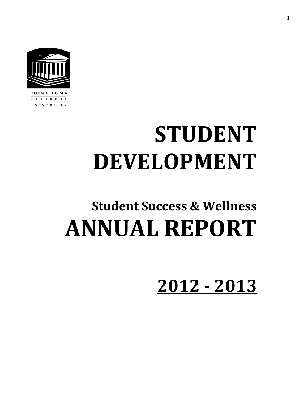

POINT LOMA N A Z A R E N E **UNIVERSITY** 

# **STUDENT DEVELOPMENT**

# **Student Success & Wellness ANNUAL REPORT**

**2012 - 2013**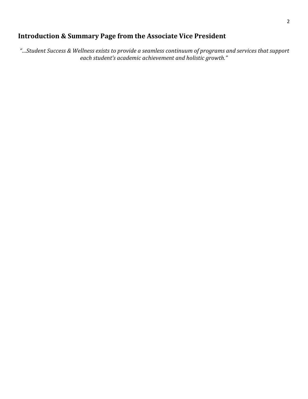# **Introduction & Summary Page from the Associate Vice President**

*"…Student Success & Wellness exists to provide a seamless continuum of programs and services that support each student's academic achievement and holistic growth."*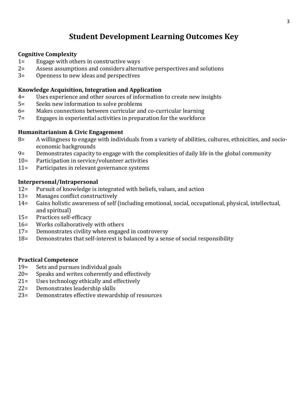# **Student Development Learning Outcomes Key**

#### **Cognitive Complexity**

- 1= Engage with others in constructive ways
- 2= Assess assumptions and considers alternative perspectives and solutions
- 3= Openness to new ideas and perspectives

#### **Knowledge Acquisition, Integration and Application**

- 4= Uses experience and other sources of information to create new insights
- 5= Seeks new information to solve problems
- 6= Makes connections between curricular and co-curricular learning
- 7= Engages in experiential activities in preparation for the workforce

#### **Humanitarianism & Civic Engagement**

- 8= A willingness to engage with individuals from a variety of abilities, cultures, ethnicities, and socioeconomic backgrounds
- 9= Demonstrates capacity to engage with the complexities of daily life in the global community
- 10= Participation in service/volunteer activities
- 11= Participates in relevant governance systems

#### **Interpersonal/Intrapersonal**

- 12= Pursuit of knowledge is integrated with beliefs, values, and action
- 13= Manages conflict constructively
- 14= Gains holistic awareness of self (including emotional, social, occupational, physical, intellectual, and spiritual)
- 15= Practices self-efficacy
- 16= Works collaboratively with others
- 17= Demonstrates civility when engaged in controversy
- 18= Demonstrates that self-interest is balanced by a sense of social responsibility

#### **Practical Competence**

- 19= Sets and pursues individual goals
- 20= Speaks and writes coherently and effectively
- 21= Uses technology ethically and effectively
- 22= Demonstrates leadership skills
- 23= Demonstrates effective stewardship of resources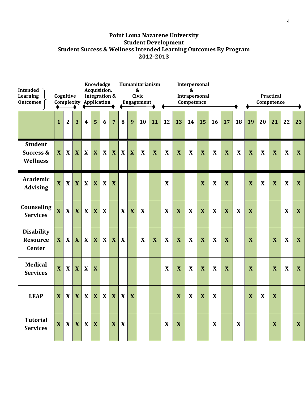#### **Point Loma Nazarene University Student Development Student Success & Wellness Intended Learning Outcomes By Program 2012-2013**

| Intended<br>Learning<br><b>Outcomes</b>                   | Cognitive<br><b>Complexity Application</b> |                |                |                         | Knowledge<br>Acquisition,<br><b>Integration &amp;</b> |              |                |              |              | &<br>Civic<br><b>Engagement</b> | Humanitarianism         |              |              | $\boldsymbol{\&}$<br>Competence | Interpersonal<br><b>Intrapersonal</b> |              |              |    |              | Competence  | <b>Practical</b>          |    |              |
|-----------------------------------------------------------|--------------------------------------------|----------------|----------------|-------------------------|-------------------------------------------------------|--------------|----------------|--------------|--------------|---------------------------------|-------------------------|--------------|--------------|---------------------------------|---------------------------------------|--------------|--------------|----|--------------|-------------|---------------------------|----|--------------|
|                                                           | $\mathbf{1}$                               | $\overline{2}$ | $\overline{3}$ | $\overline{\mathbf{4}}$ | $\overline{5}$                                        | 6            | $\overline{7}$ | 8            | 9            | 10                              | 11                      | 12           | 13           | 14                              | 15                                    | 16           | 17           | 18 | 19           | 20          | 21                        | 22 | 23           |
| <b>Student</b><br><b>Success &amp;</b><br><b>Wellness</b> | $\mathbf{X}$                               | X              | $\mathbf{X}$   | $\mathbf{X}$            | $\mathbf{X}$                                          | $\mathbf{X}$ | $\mathbf{X}$   | $\mathbf{X}$ | $\mathbf{X}$ | $\mathbf{X}$                    | X                       | $\mathbf X$  | $\mathbf{X}$ | $\mathbf X$                     | $\mathbf{X}$                          | $\mathbf{X}$ | $\mathbf{X}$ | X  | $\mathbf{X}$ | X           | $\mathbf{X}$              | X  | $\mathbf{X}$ |
| Academic<br><b>Advising</b>                               | $\mathbf{X}$                               | $\mathbf{X}$   | $\mathbf{X}$   | $\mathbf{X}$            | $\mathbf{X}$                                          | X            | X              |              |              |                                 |                         | $\mathbf{X}$ |              |                                 | X                                     | $\mathbf{X}$ | X            |    | X            | $\mathbf X$ | X                         | X  | $\mathbf{X}$ |
| Counseling<br><b>Services</b>                             | $\mathbf{X}$                               | $\mathbf{X}$   | $\mathbf{X}$   | $\mathbf{X}$            | X                                                     | X            |                | X            | X            | X                               |                         | X            | X            | X                               | X                                     | X            | X            | X  | X            |             |                           | X  | $\mathbf{X}$ |
| <b>Disability</b><br><b>Resource</b><br><b>Center</b>     | $\mathbf{X}$                               | X              | X              | $\mathbf{X}$            | X                                                     | $\mathbf{X}$ | X              | $\mathbf{X}$ |              | $\mathbf{X}$                    | $\overline{\mathbf{X}}$ | X            | X            | X                               | X                                     | X            | X            |    | X            |             | X                         | X  | $\mathbf{X}$ |
| <b>Medical</b><br><b>Services</b>                         | $\mathbf{X}$                               | $\mathbf X$    | $\mathbf X$    | X                       | $\mathbf{X}$                                          |              |                |              |              |                                 |                         | X            | $\mathbf{X}$ | X                               | X                                     | X            | $\mathbf{X}$ |    | $\mathbf{X}$ |             | $\boldsymbol{\mathrm{X}}$ | X  | $\mathbf{X}$ |
| <b>LEAP</b>                                               | $\mathbf{X}$                               | X              | X              | $\mathbf{X}$            | X                                                     | $\mathbf{X}$ | X              | X            | X            |                                 |                         |              | $\mathbf{X}$ | $\mathbf X$                     | X                                     | $\mathbf X$  |              |    | $\mathbf{X}$ | $\mathbf X$ | X                         |    |              |
| <b>Tutorial</b><br><b>Services</b>                        | $\mathbf{X}$                               | X              | $\mathbf{X}$   | $\mathbf{X}$            | $\mathbf{X}$                                          |              | X              | X            |              |                                 |                         | X            | $\mathbf{X}$ |                                 |                                       | X            |              | X  |              |             | $\boldsymbol{\mathrm{X}}$ |    | $\mathbf{X}$ |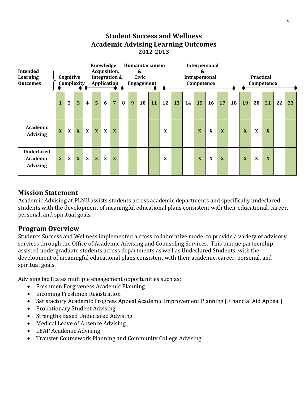# **Student Success and Wellness Academic Advising Learning Outcomes 2012-2013**



#### **Mission Statement**

Academic Advising at PLNU assists students across academic departments and specifically undeclared students with the development of meaningful educational plans consistent with their educational, career, personal, and spiritual goals.

#### **Program Overview**

Students Success and Wellness implemented a cross collaborative model to provide a variety of advisory services through the Office of Academic Advising and Counseling Services. This unique partnership assisted undergraduate students across departments as well as Undeclared Students, with the development of meaningful educational plans consistent with their academic, career, personal, and spiritual goals.

Advising facilitates multiple engagement opportunities such as:

- Freshmen Forgiveness Academic Planning
- Incoming Freshmen Registration
- Satisfactory Academic Progress Appeal Academic Improvement Planning (Financial Aid Appeal)
- Probationary Student Advising
- Strengths Based Undeclared Advising
- Medical Leave of Absence Advising
- LEAP Academic Advising
- Transfer Coursework Planning and Community College Advising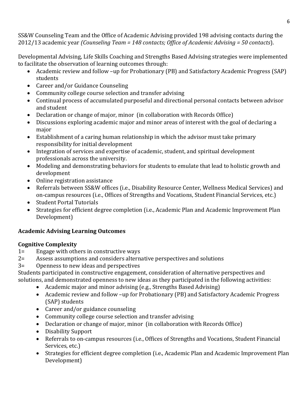SS&W Counseling Team and the Office of Academic Advising provided 198 advising contacts during the 2012/13 academic year *(Counseling Team = 148 contacts; Office of Academic Advising = 50 contacts*).

Developmental Advising, Life Skills Coaching and Strengths Based Advising strategies were implemented to facilitate the observation of learning outcomes through:

- Academic review and follow –up for Probationary (PB) and Satisfactory Academic Progress (SAP) students
- Career and/or Guidance Counseling
- Community college course selection and transfer advising
- Continual process of accumulated purposeful and directional personal contacts between advisor and student
- Declaration or change of major, minor (in collaboration with Records Office)
- Discussions exploring academic major and minor areas of interest with the goal of declaring a major
- Establishment of a caring human relationship in which the advisor must take primary responsibility for initial development
- Integration of services and expertise of academic, student, and spiritual development professionals across the university.
- Modeling and demonstrating behaviors for students to emulate that lead to holistic growth and development
- Online registration assistance
- Referrals between SS&W offices (i.e., Disability Resource Center, Wellness Medical Services) and on-campus resources (i.e., Offices of Strengths and Vocations, Student Financial Services, etc.)
- Student Portal Tutorials
- Strategies for efficient degree completion (i.e., Academic Plan and Academic Improvement Plan Development)

# **Academic Advising Learning Outcomes**

# **Cognitive Complexity**

- 1= Engage with others in constructive ways
- 2= Assess assumptions and considers alternative perspectives and solutions
- 3= Openness to new ideas and perspectives

Students participated in constructive engagement, consideration of alternative perspectives and solutions, and demonstrated openness to new ideas as they participated in the following activities:

- Academic major and minor advising (e.g., Strengths Based Advising)
- Academic review and follow –up for Probationary (PB) and Satisfactory Academic Progress (SAP) students
- Career and/or guidance counseling
- Community college course selection and transfer advising
- Declaration or change of major, minor (in collaboration with Records Office)
- Disability Support
- Referrals to on-campus resources (i.e., Offices of Strengths and Vocations, Student Financial Services, etc.)
- Strategies for efficient degree completion (i.e., Academic Plan and Academic Improvement Plan Development)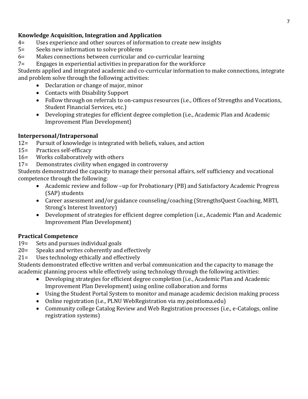#### **Knowledge Acquisition, Integration and Application**

- 4= Uses experience and other sources of information to create new insights
- 5= Seeks new information to solve problems
- 6= Makes connections between curricular and co-curricular learning
- 7= Engages in experiential activities in preparation for the workforce

Students applied and integrated academic and co-curricular information to make connections, integrate and problem solve through the following activities:

- Declaration or change of major, minor
- Contacts with Disability Support
- Follow through on referrals to on-campus resources (i.e., Offices of Strengths and Vocations, Student Financial Services, etc.)
- Developing strategies for efficient degree completion (i.e., Academic Plan and Academic Improvement Plan Development)

#### **Interpersonal/Intrapersonal**

- 12= Pursuit of knowledge is integrated with beliefs, values, and action
- 15= Practices self-efficacy
- 16= Works collaboratively with others
- 17= Demonstrates civility when engaged in controversy

Students demonstrated the capacity to manage their personal affairs, self sufficiency and vocational competence through the following:

- Academic review and follow –up for Probationary (PB) and Satisfactory Academic Progress (SAP) students
- Career assessment and/or guidance counseling/coaching (StrengthsQuest Coaching, MBTI, Strong's Interest Inventory)
- Development of strategies for efficient degree completion (i.e., Academic Plan and Academic Improvement Plan Development)

#### **Practical Competence**

- 19= Sets and pursues individual goals
- 20= Speaks and writes coherently and effectively
- 21= Uses technology ethically and effectively

Students demonstrated effective written and verbal communication and the capacity to manage the academic planning process while effectively using technology through the following activities:

- Developing strategies for efficient degree completion (i.e., Academic Plan and Academic Improvement Plan Development) using online collaboration and forms
- Using the Student Portal System to monitor and manage academic decision making process
- Online registration (i.e., PLNU WebRegistration via my.pointloma.edu)
- Community college Catalog Review and Web Registration processes (i.e., e-Catalogs, online registration systems)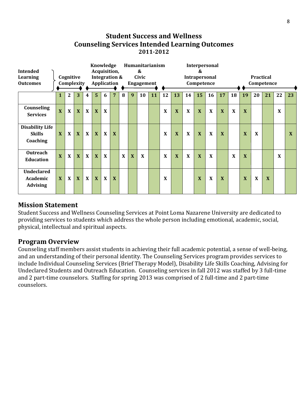# **Student Success and Wellness Counseling Services Intended Learning Outcomes 2011-2012**

|                                                     |                         |              |                |              | Knowledge                |              |                 |   | Humanitarianism |            |    |              |    |    | Interpersonal |              |    |              |              |                  |    |    |    |
|-----------------------------------------------------|-------------------------|--------------|----------------|--------------|--------------------------|--------------|-----------------|---|-----------------|------------|----|--------------|----|----|---------------|--------------|----|--------------|--------------|------------------|----|----|----|
| <b>Intended</b>                                     |                         |              |                |              | Acquisition,             |              |                 |   |                 | &          |    |              |    |    | &             |              |    |              |              |                  |    |    |    |
| Learning                                            |                         | Cognitive    |                |              | <b>Integration &amp;</b> |              |                 |   |                 | Civic      |    |              |    |    | Intrapersonal |              |    |              |              | <b>Practical</b> |    |    |    |
| <b>Outcomes</b>                                     |                         | Complexity   |                |              | Application              |              |                 |   |                 | Engagement |    |              |    |    | Competence    |              |    |              |              | Competence       |    |    |    |
|                                                     | $\mathbf{1}$            | $2^{\circ}$  | $\overline{3}$ | 4            | 5                        | 6            | $7\overline{ }$ | 8 | 9               | <b>10</b>  | 11 | 12           | 13 | 14 | 15            | 16           | 17 | 18           | 19           | 20               | 21 | 22 | 23 |
| Counseling<br><b>Services</b>                       | $\overline{\mathbf{X}}$ | $\mathbf{X}$ | $\mathbf{X}$   | $\mathbf{X}$ | $\mathbf{X}$             | $\mathbf{X}$ |                 |   |                 |            |    | $\mathbf{X}$ | X  | X  | $\mathbf{X}$  | X            | X  | $\mathbf{x}$ | X            |                  |    | X  |    |
| <b>Disability Life</b><br><b>Skills</b><br>Coaching | $\mathbf{X}$            | $\mathbf{X}$ | $\mathbf{X}$   | $\mathbf{X}$ | $\mathbf{X}$             | $\mathbf{x}$ | $\mathbf{x}$    |   |                 |            |    | X            | X  | X  | $\mathbf{x}$  | $\mathbf{x}$ | X  |              | X            | X                |    |    | X  |
| <b>Outreach</b><br><b>Education</b>                 | X                       | $\mathbf{X}$ | $\mathbf{X}$   | $\mathbf{X}$ | X                        | $\mathbf{X}$ |                 | X | X               | X          |    | X            | X  | X  | X             | X            |    | X            | $\mathbf{X}$ |                  |    | X  |    |
| <b>Undeclared</b><br>Academic<br><b>Advising</b>    | $\mathbf{x}$            | $\mathbf{X}$ | $\mathbf{X}$   | $\mathbf{X}$ | X                        | $\mathbf{X}$ | X               |   |                 |            |    | X            |    |    | X             | X            | X  |              | X            | X                | X  |    |    |

#### **Mission Statement**

Student Success and Wellness Counseling Services at Point Loma Nazarene University are dedicated to providing services to students which address the whole person including emotional, academic, social, physical, intellectual and spiritual aspects.

#### **Program Overview**

Counseling staff members assist students in achieving their full academic potential, a sense of well-being, and an understanding of their personal identity. The Counseling Services program provides services to include Individual Counseling Services (Brief Therapy Model), Disability Life Skills Coaching, Advising for Undeclared Students and Outreach Education. Counseling services in fall 2012 was staffed by 3 full-time and 2 part-time counselors. Staffing for spring 2013 was comprised of 2 full-time and 2 part-time counselors.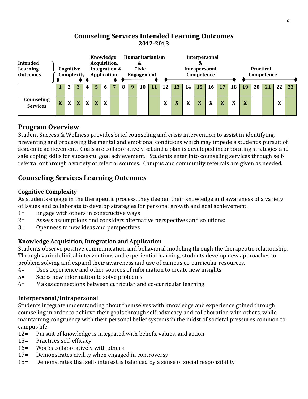# **Counseling Services Intended Learning Outcomes 2012-2013**

| Intended<br>Learning          |   | Cognitive |            |              | Knowledge<br>Acquisition,<br>Integration & |              |    |   | Humanitarianism<br>&<br>Civic |    |    |    |    | &          | <b>Interpersonal</b><br><b>Intrapersonal</b> |    |    |    | <b>Practical</b> |            |                   |    |
|-------------------------------|---|-----------|------------|--------------|--------------------------------------------|--------------|----|---|-------------------------------|----|----|----|----|------------|----------------------------------------------|----|----|----|------------------|------------|-------------------|----|
| <b>Outcomes</b>               |   |           | Complexity |              | Application                                |              |    |   | <b>Engagement</b>             |    |    |    |    | Competence |                                              |    |    |    |                  | Competence |                   |    |
|                               |   |           | 3          | 4            | 5.                                         | 6            | -8 | 9 | 10                            | 11 | 12 | 13 | 14 | 15         | 16                                           | 17 | 18 | 19 | 20               | 21         | 22                | 23 |
|                               |   |           |            |              |                                            |              |    |   |                               |    |    |    |    |            |                                              |    |    |    |                  |            |                   |    |
| Counseling<br><b>Services</b> | X | X         | X          | $\mathbf{x}$ | $\mathbf x$                                | $\mathbf{x}$ |    |   |                               |    | X  | X  | X  | X          | X                                            | X  | X  | X  |                  |            | $\mathbf{v}$<br>A |    |

# **Program Overview**

Student Success & Wellness provides brief counseling and crisis intervention to assist in identifying, preventing and processing the mental and emotional conditions which may impede a student's pursuit of academic achievement. Goals are collaboratively set and a plan is developed incorporating strategies and safe coping skills for successful goal achievement. Students enter into counseling services through selfreferral or through a variety of referral sources. Campus and community referrals are given as needed.

# **Counseling Services Learning Outcomes**

#### **Cognitive Complexity**

As students engage in the therapeutic process, they deepen their knowledge and awareness of a variety of issues and collaborate to develop strategies for personal growth and goal achievement.

- 1= Engage with others in constructive ways
- 2= Assess assumptions and considers alternative perspectives and solutions:
- 3= Openness to new ideas and perspectives

#### **Knowledge Acquisition, Integration and Application**

Students observe positive communication and behavioral modeling through the therapeutic relationship. Through varied clinical interventions and experiential learning, students develop new approaches to problem solving and expand their awareness and use of campus co-curricular resources.

- 4= Uses experience and other sources of information to create new insights
- 5= Seeks new information to solve problems
- 6= Makes connections between curricular and co-curricular learning

#### **Interpersonal/Intrapersonal**

Students integrate understanding about themselves with knowledge and experience gained through counseling in order to achieve their goals through self-advocacy and collaboration with others, while maintaining congruency with their personal belief systems in the midst of societal pressures common to campus life.

- 12= Pursuit of knowledge is integrated with beliefs, values, and action
- 15= Practices self-efficacy
- 16= Works collaboratively with others
- 17= Demonstrates civility when engaged in controversy
- 18= Demonstrates that self- interest is balanced by a sense of social responsibility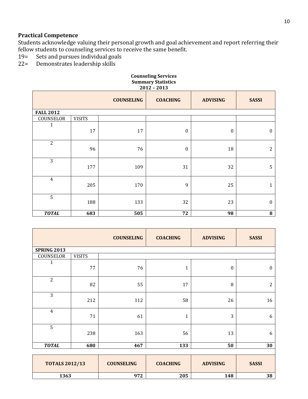#### **Practical Competence**

Students acknowledge valuing their personal growth and goal achievement and report referring their fellow students to counseling services to receive the same benefit.

- 19= Sets and pursues individual goals<br>22= Demonstrates leadership skills
- Demonstrates leadership skills

#### **Counseling Services Summary Statistics 2012 – 2013**

|                  |               | <b>COUNSELING</b> | <b>COACHING</b>  | <b>ADVISING</b>  | <b>SASSI</b>     |
|------------------|---------------|-------------------|------------------|------------------|------------------|
| <b>FALL 2012</b> |               |                   |                  |                  |                  |
| COUNSELOR        | <b>VISITS</b> |                   |                  |                  |                  |
| 1                | 17            | 17                | $\boldsymbol{0}$ | $\boldsymbol{0}$ | $\boldsymbol{0}$ |
| $\overline{2}$   | 96            | 76                | $\boldsymbol{0}$ | 18               | $\overline{c}$   |
| 3                | 177           | 109               | 31               | 32               | 5                |
| $\overline{4}$   | 205           | 170               | 9                | 25               | 1                |
| 5                | 188           | 133               | 32               | 23               | $\boldsymbol{0}$ |
| <b>TOTAL</b>     | 683           | 505               | 72               | 98               | 8                |

|                    |               | <b>COUNSELING</b> | <b>COACHING</b> | <b>ADVISING</b>  | <b>SASSI</b>     |
|--------------------|---------------|-------------------|-----------------|------------------|------------------|
| <b>SPRING 2013</b> |               |                   |                 |                  |                  |
| COUNSELOR          | <b>VISITS</b> |                   |                 |                  |                  |
| $\mathbf{1}$       | 77            | 76                | $\mathbf{1}$    | $\boldsymbol{0}$ | $\boldsymbol{0}$ |
| $\overline{2}$     | 82            | 55                | 17              | 8                | $\overline{2}$   |
| 3                  | 212           | 112               | 58              | 26               | 16               |
| $\overline{4}$     | 71            | 61                | $\mathbf{1}$    | 3                | 6                |
| 5                  | 238           | 163               | 56              | 13               | 6                |
| <b>TOTAL</b>       | 680           | 467               | 133             | 50               | 30               |

| <b>TOTALS 2012/13</b> | <b>COUNSELING</b> | <b>COACHING</b> | <b>ADVISING</b> | <b>SASSI</b> |
|-----------------------|-------------------|-----------------|-----------------|--------------|
| 1363                  | 972               | 205             | 148             | 38           |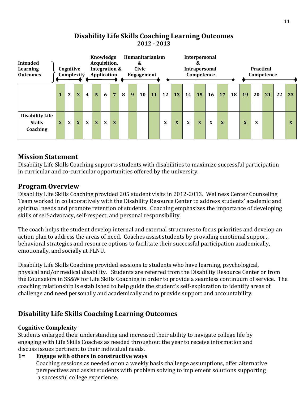# **Disability Life Skills Coaching Learning Outcomes 2012 - 2013**



# **Mission Statement**

Disability Life Skills Coaching supports students with disabilities to maximize successful participation in curricular and co-curricular opportunities offered by the university.

# **Program Overview**

Disability Life Skills Coaching provided 205 student visits in 2012-2013. Wellness Center Counseling Team worked in collaboratively with the Disability Resource Center to address students' academic and spiritual needs and promote retention of students. Coaching emphasizes the importance of developing skills of self-advocacy, self-respect, and personal responsibility.

The coach helps the student develop internal and external structures to focus priorities and develop an action plan to address the areas of need. Coaches assist students by providing emotional support, behavioral strategies and resource options to facilitate their successful participation academically, emotionally, and socially at PLNU.

Disability Life Skills Coaching provided sessions to students who have learning, psychological, physical and/or medical disability. Students are referred from the Disability Resource Center or from the Counselors in SS&W for Life Skills Coaching in order to provide a seamless continuum of service. The coaching relationship is established to help guide the student's self-exploration to identify areas of challenge and need personally and academically and to provide support and accountability.

# **Disability Life Skills Coaching Learning Outcomes**

#### **Cognitive Complexity**

Students enlarged their understanding and increased their ability to navigate college life by engaging with Life Skills Coaches as needed throughout the year to receive information and discuss issues pertinent to their individual needs.

**1= Engage with others in constructive ways**  Coaching sessions as needed or on a weekly basis challenge assumptions, offer alternative perspectives and assist students with problem solving to implement solutions supporting a successful college experience.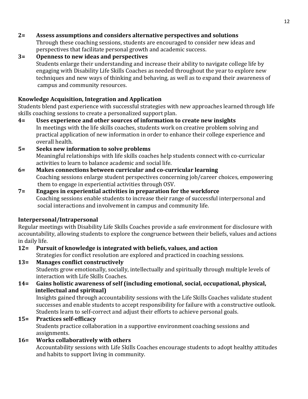#### **2= Assess assumptions and considers alternative perspectives and solutions**

Through these coaching sessions, students are encouraged to consider new ideas and perspectives that facilitate personal growth and academic success.

#### **3= Openness to new ideas and perspectives** Students enlarge their understanding and increase their ability to navigate college life by engaging with Disability Life Skills Coaches as needed throughout the year to explore new techniques and new ways of thinking and behaving, as well as to expand their awareness of campus and community resources.

### **Knowledge Acquisition, Integration and Application**

Students blend past experience with successful strategies with new approaches learned through life skills coaching sessions to create a personalized support plan.

- **4= Uses experience and other sources of information to create new insights**  In meetings with the life skills coaches, students work on creative problem solving and practical application of new information in order to enhance their college experience and overall health.
- **5= Seeks new information to solve problems** Meaningful relationships with life skills coaches help students connect with co-curricular activities to learn to balance academic and social life.
- **6= Makes connections between curricular and co-curricular learning** Coaching sessions enlarge student perspectives concerning job/career choices, empowering them to engage in experiential activities through OSV.
- **7= Engages in experiential activities in preparation for the workforce** Coaching sessions enable students to increase their range of successful interpersonal and social interactions and involvement in campus and community life.

#### **Interpersonal/Intrapersonal**

Regular meetings with Disability Life Skills Coaches provide a safe environment for disclosure with accountability, allowing students to explore the congruence between their beliefs, values and actions in daily life.

# **12= Pursuit of knowledge is integrated with beliefs, values, and action**

Strategies for conflict resolution are explored and practiced in coaching sessions.

- **13= Manages conflict constructively** Students grow emotionally, socially, intellectually and spiritually through multiple levels of interaction with Life Skills Coaches.
- **14= Gains holistic awareness of self (including emotional, social, occupational, physical, intellectual and spiritual)**

Insights gained through accountability sessions with the Life Skills Coaches validate student successes and enable students to accept responsibility for failure with a constructive outlook. Students learn to self-correct and adjust their efforts to achieve personal goals.

#### **15= Practices self-efficacy**

Students practice collaboration in a supportive environment coaching sessions and assignments.

#### **16= Works collaboratively with others**

Accountability sessions with Life Skills Coaches encourage students to adopt healthy attitudes and habits to support living in community.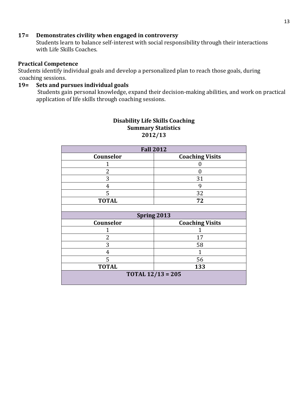#### **17= Demonstrates civility when engaged in controversy**

Students learn to balance self-interest with social responsibility through their interactions with Life Skills Coaches.

#### **Practical Competence**

Students identify individual goals and develop a personalized plan to reach those goals, during coaching sessions.

# **19= Sets and pursues individual goals**

Students gain personal knowledge, expand their decision-making abilities, and work on practical application of life skills through coaching sessions.

#### **Disability Life Skills Coaching Summary Statistics 2012/13**

| <b>Fall 2012</b>    |                        |  |  |  |  |  |  |
|---------------------|------------------------|--|--|--|--|--|--|
| Counselor           | <b>Coaching Visits</b> |  |  |  |  |  |  |
|                     | U                      |  |  |  |  |  |  |
| $\overline{2}$      | 0                      |  |  |  |  |  |  |
| 3                   | 31                     |  |  |  |  |  |  |
| 4                   | 9                      |  |  |  |  |  |  |
| 5                   | 32                     |  |  |  |  |  |  |
| <b>TOTAL</b>        | 72                     |  |  |  |  |  |  |
|                     |                        |  |  |  |  |  |  |
| Spring 2013         |                        |  |  |  |  |  |  |
| Counselor           | <b>Coaching Visits</b> |  |  |  |  |  |  |
|                     |                        |  |  |  |  |  |  |
| 2                   | 17                     |  |  |  |  |  |  |
| 3                   | 58                     |  |  |  |  |  |  |
| 4                   |                        |  |  |  |  |  |  |
| 5                   | 56                     |  |  |  |  |  |  |
| <b>TOTAL</b><br>133 |                        |  |  |  |  |  |  |
|                     | TOTAL $12/13 = 205$    |  |  |  |  |  |  |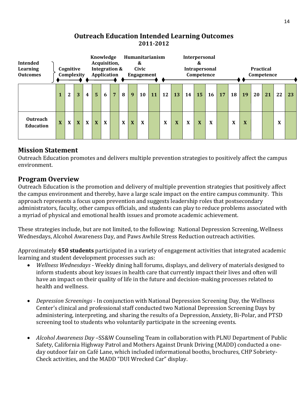# **Outreach Education Intended Learning Outcomes 2011-2012**



#### **Mission Statement**

Outreach Education promotes and delivers multiple prevention strategies to positively affect the campus environment.

#### **Program Overview**

Outreach Education is the promotion and delivery of multiple prevention strategies that positively affect the campus environment and thereby, have a large scale impact on the entire campus community. This approach represents a focus upon prevention and suggests leadership roles that postsecondary administrators, faculty, other campus officials, and students can play to reduce problems associated with a myriad of physical and emotional health issues and promote academic achievement.

These strategies include, but are not limited, to the following: National Depression Screening, Wellness Wednesdays, Alcohol Awareness Day, and Paws Awhile Stress Reduction outreach activities.

Approximately **450 students** participated in a variety of engagement activities that integrated academic learning and student development processes such as:

- *Wellness Wednesdays*  Weekly dining hall forums, displays, and delivery of materials designed to inform students about key issues in health care that currently impact their lives and often will have an impact on their quality of life in the future and decision-making processes related to health and wellness.
- *Depression Screenings*  In conjunction with National Depression Screening Day, the Wellness Center's clinical and professional staff conducted two National Depression Screening Days by administering, interpreting, and sharing the results of a Depression, Anxiety, Bi-Polar, and PTSD screening tool to students who voluntarily participate in the screening events.
- *Alcohol Awareness Day* –SS&W Counseling Team in collaboration with PLNU Department of Public Safety, California Highway Patrol and Mothers Against Drunk Driving (MADD) conducted a oneday outdoor fair on Café Lane, which included informational booths, brochures, CHP Sobriety-Check activities, and the MADD "DUI Wrecked Car" display.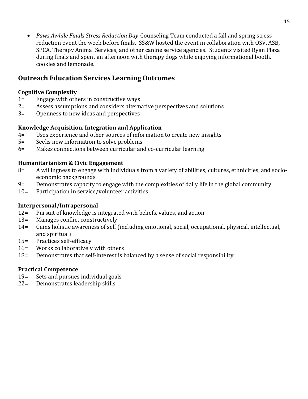*Paws Awhile Finals Stress Reduction Day*-Counseling Team conducted a fall and spring stress reduction event the week before finals. SS&W hosted the event in collaboration with OSV, ASB, SPCA, Therapy Animal Services, and other canine service agencies. Students visited Ryan Plaza during finals and spent an afternoon with therapy dogs while enjoying informational booth, cookies and lemonade.

# **Outreach Education Services Learning Outcomes**

#### **Cognitive Complexity**

- 1= Engage with others in constructive ways
- 2= Assess assumptions and considers alternative perspectives and solutions
- 3= Openness to new ideas and perspectives

#### **Knowledge Acquisition, Integration and Application**

- 4= Uses experience and other sources of information to create new insights
- 5= Seeks new information to solve problems
- 6= Makes connections between curricular and co-curricular learning

#### **Humanitarianism & Civic Engagement**

- 8= A willingness to engage with individuals from a variety of abilities, cultures, ethnicities, and socioeconomic backgrounds
- 9= Demonstrates capacity to engage with the complexities of daily life in the global community
- 10= Participation in service/volunteer activities

#### **Interpersonal/Intrapersonal**

- 12= Pursuit of knowledge is integrated with beliefs, values, and action
- 13= Manages conflict constructively
- 14= Gains holistic awareness of self (including emotional, social, occupational, physical, intellectual, and spiritual)
- 15= Practices self-efficacy
- 16= Works collaboratively with others
- 18= Demonstrates that self-interest is balanced by a sense of social responsibility

#### **Practical Competence**

- 19= Sets and pursues individual goals
- 22= Demonstrates leadership skills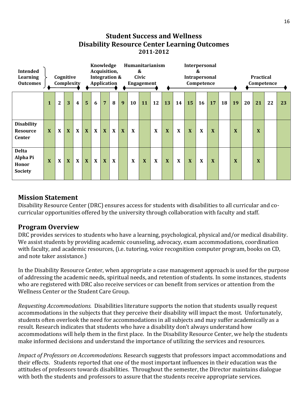# **Student Success and Wellness Disability Resource Center Learning Outcomes 2011-2012**



# **Mission Statement**

Disability Resource Center (DRC) ensures access for students with disabilities to all curricular and cocurricular opportunities offered by the university through collaboration with faculty and staff.

#### **Program Overview**

DRC provides services to students who have a learning, psychological, physical and/or medical disability. We assist students by providing academic counseling, advocacy, exam accommodations, coordination with faculty, and academic resources, (i.e. tutoring, voice recognition computer program, books on CD, and note taker assistance.)

In the Disability Resource Center, when appropriate a case management approach is used for the purpose of addressing the academic needs, spiritual needs, and retention of students. In some instances, students who are registered with DRC also receive services or can benefit from services or attention from the Wellness Center or the Student Care Group.

*Requesting Accommodations.* Disabilities literature supports the notion that students usually request accommodations in the subjects that they perceive their disability will impact the most. Unfortunately, students often overlook the need for accommodations in all subjects and may suffer academically as a result. Research indicates that students who have a disability don't always understand how accommodations will help them in the first place. In the Disability Resource Center, we help the students make informed decisions and understand the importance of utilizing the services and resources.

*Impact of Professors on Accommodations.* Research suggests that professors impact accommodations and their effects. Students reported that one of the most important influences in their education was the attitudes of professors towards disabilities. Throughout the semester, the Director maintains dialogue with both the students and professors to assure that the students receive appropriate services.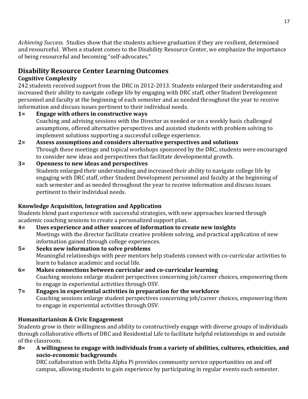*Achieving Success.* Studies show that the students achieve graduation if they are resilient, determined and resourceful. When a student comes to the Disability Resource Center, we emphasize the importance of being resourceful and becoming "self-advocates."

# **Disability Resource Center Learning Outcomes**

# **Cognitive Complexity**

242 students received support from the DRC in 2012-2013. Students enlarged their understanding and increased their ability to navigate college life by engaging with DRC staff, other Student Development personnel and faculty at the beginning of each semester and as needed throughout the year to receive information and discuss issues pertinent to their individual needs.

- **1= Engage with others in constructive ways**  Coaching and advising sessions with the Director as needed or on a weekly basis challenged assumptions, offered alternative perspectives and assisted students with problem solving to implement solutions supporting a successful college experience.
- **2= Assess assumptions and considers alternative perspectives and solutions** Through these meetings and topical workshops sponsored by the DRC, students were encouraged to consider new ideas and perspectives that facilitate developmental growth.

# **3= Openness to new ideas and perspectives**

Students enlarged their understanding and increased their ability to navigate college life by engaging with DRC staff, other Student Development personnel and faculty at the beginning of each semester and as needed throughout the year to receive information and discuss issues pertinent to their individual needs.

# **Knowledge Acquisition, Integration and Application**

Students blend past experience with successful strategies, with new approaches learned through academic coaching sessions to create a personalized support plan.

- **4= Uses experience and other sources of information to create new insights**  Meetings with the director facilitate creative problem solving, and practical application of new information gained through college experiences.
- **5= Seeks new information to solve problems** Meaningful relationships with peer mentors help students connect with co-curricular activities to learn to balance academic and social life.
- **6= Makes connections between curricular and co-curricular learning** Coaching sessions enlarge student perspectives concerning job/career choices, empowering them to engage in experiential activities through OSV.
- **7= Engages in experiential activities in preparation for the workforce** Coaching sessions enlarge student perspectives concerning job/career choices, empowering them to engage in experiential activities through OSV.

# **Humanitarianism & Civic Engagement**

Students grow in their willingness and ability to constructively engage with diverse groups of individuals through collaborative efforts of DRC and Residential Life to facilitate helpful relationships in and outside of the classroom.

**8= A willingness to engage with individuals from a variety of abilities, cultures, ethnicities, and socio-economic backgrounds**

DRC collaboration with Delta Alpha Pi provides community service opportunities on and off campus, allowing students to gain experience by participating in regular events each semester.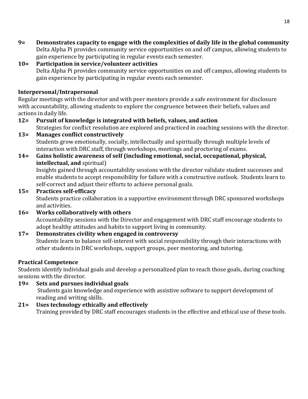**9= Demonstrates capacity to engage with the complexities of daily life in the global community**  Delta Alpha Pi provides community service opportunities on and off campus, allowing students to gain experience by participating in regular events each semester.

# **10= Participation in service/volunteer activities**  Delta Alpha Pi provides community service opportunities on and off campus, allowing students to gain experience by participating in regular events each semester.

#### **Interpersonal/Intrapersonal**

Regular meetings with the director and with peer mentors provide a safe environment for disclosure with accountability, allowing students to explore the congruence between their beliefs, values and actions in daily life.

**12= Pursuit of knowledge is integrated with beliefs, values, and action**  Strategies for conflict resolution are explored and practiced in coaching sessions with the director.

# **13= Manages conflict constructively**

Students grow emotionally, socially, intellectually and spiritually through multiple levels of interaction with DRC staff, through workshops, meetings and proctoring of exams.

#### **14= Gains holistic awareness of self (including emotional, social, occupational, physical, intellectual, and** spiritual)

Insights gained through accountability sessions with the director validate student successes and enable students to accept responsibility for failure with a constructive outlook. Students learn to self-correct and adjust their efforts to achieve personal goals.

#### **15= Practices self-efficacy**

Students practice collaboration in a supportive environment through DRC sponsored workshops and activities.

#### **16= Works collaboratively with others**

Accountability sessions with the Director and engagement with DRC staff encourage students to adopt healthy attitudes and habits to support living in community.

#### **17= Demonstrates civility when engaged in controversy**

Students learn to balance self-interest with social responsibility through their interactions with other students in DRC workshops, support groups, peer mentoring, and tutoring.

#### **Practical Competence**

Students identify individual goals and develop a personalized plan to reach those goals, during coaching sessions with the director.

**19= Sets and pursues individual goals**

Students gain knowledge and experience with assistive software to support development of reading and writing skills.

# **21= Uses technology ethically and effectively**

Training provided by DRC staff encourages students in the effective and ethical use of these tools.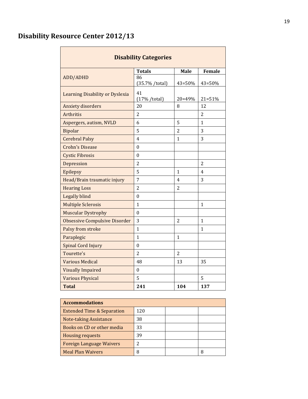# **Disability Resource Center 2012/13**

| <b>Disability Categories</b>         |                               |                |               |  |  |  |  |
|--------------------------------------|-------------------------------|----------------|---------------|--|--|--|--|
|                                      | <b>Totals</b>                 | Male           | <b>Female</b> |  |  |  |  |
| ADD/ADHD                             | 86<br>(35.7% /total)          | 43=50%         | 43=50%        |  |  |  |  |
| Learning Disability or Dyslexia      | 41<br>$(17\% / \text{total})$ | 20=49%         | $21 = 51%$    |  |  |  |  |
| Anxiety disorders                    | 20                            | 8              | 12            |  |  |  |  |
| <b>Arthritis</b>                     | $\overline{2}$                |                | 2             |  |  |  |  |
| Aspergers, autism, NVLD              | 6                             | 5              | 1             |  |  |  |  |
| <b>Bipolar</b>                       | 5                             | $\overline{2}$ | 3             |  |  |  |  |
| <b>Cerebral Palsy</b>                | 4                             | 1              | 3             |  |  |  |  |
| <b>Crohn's Disease</b>               | $\boldsymbol{0}$              |                |               |  |  |  |  |
| <b>Cystic Fibrosis</b>               | 0                             |                |               |  |  |  |  |
| Depression                           | $\overline{2}$                |                | 2             |  |  |  |  |
| Epilepsy                             | 5                             | 1              | 4             |  |  |  |  |
| Head/Brain traumatic injury          | 7                             | 4              | 3             |  |  |  |  |
| <b>Hearing Loss</b>                  | $\overline{2}$                | $\overline{c}$ |               |  |  |  |  |
| <b>Legally blind</b>                 | $\mathbf{0}$                  |                |               |  |  |  |  |
| <b>Multiple Sclerosis</b>            | $\mathbf{1}$                  |                | 1             |  |  |  |  |
| <b>Muscular Dystrophy</b>            | $\boldsymbol{0}$              |                |               |  |  |  |  |
| <b>Obsessive Compulsive Disorder</b> | 3                             | $\overline{2}$ | $\mathbf{1}$  |  |  |  |  |
| Palsy from stroke                    | $\mathbf{1}$                  |                | $\mathbf{1}$  |  |  |  |  |
| Paraplegic                           | $\mathbf{1}$                  | 1              |               |  |  |  |  |
| Spinal Cord Injury                   | $\boldsymbol{0}$              |                |               |  |  |  |  |
| Tourette's                           | $\overline{c}$                | $\overline{2}$ |               |  |  |  |  |
| <b>Various Medical</b>               | 48                            | 13             | 35            |  |  |  |  |
| <b>Visually Impaired</b>             | $\boldsymbol{0}$              |                |               |  |  |  |  |
| <b>Various Physical</b>              | 5                             |                | 5             |  |  |  |  |
| <b>Total</b>                         | 241                           | 104            | 137           |  |  |  |  |

| <b>Accommodations</b>                 |     |  |  |  |  |  |  |  |
|---------------------------------------|-----|--|--|--|--|--|--|--|
| <b>Extended Time &amp; Separation</b> | 120 |  |  |  |  |  |  |  |
| <b>Note-taking Assistance</b>         | 38  |  |  |  |  |  |  |  |
| Books on CD or other media            | 33  |  |  |  |  |  |  |  |
| <b>Housing requests</b>               | 39  |  |  |  |  |  |  |  |
| <b>Foreign Language Waivers</b>       | 2   |  |  |  |  |  |  |  |
| <b>Meal Plan Waivers</b>              | 8   |  |  |  |  |  |  |  |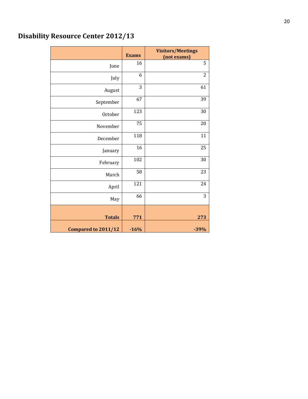# **Disability Resource Center 2012/13**

|                            | <b>Exams</b> | <b>Visitors/Meetings</b><br>(not exams) |
|----------------------------|--------------|-----------------------------------------|
| June                       | 16           | 5                                       |
| July                       | 6            | $\overline{2}$                          |
| August                     | 3            | 61                                      |
| September                  | 67           | 39                                      |
| October                    | 123          | 30                                      |
| November                   | 75           | 20                                      |
| December                   | 118          | 11                                      |
| January                    | 16           | 25                                      |
| February                   | 102          | 30                                      |
| March                      | 58           | 23                                      |
| April                      | 121          | 24                                      |
| May                        | 66           | $\overline{3}$                          |
|                            |              |                                         |
| <b>Totals</b>              | 771          | 273                                     |
| <b>Compared to 2011/12</b> | $-16%$       | $-39%$                                  |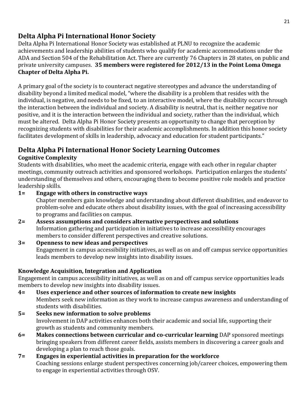# **Delta Alpha Pi International Honor Society**

Delta Alpha Pi International Honor Society was established at PLNU to recognize the academic achievements and leadership abilities of students who qualify for academic accommodations under the ADA and Section 504 of the Rehabilitation Act. There are currently 76 Chapters in 28 states, on public and private university campuses. **35 members were registered for 2012/13 in the Point Loma Omega Chapter of Delta Alpha Pi.**

A primary goal of the society is to counteract negative stereotypes and advance the understanding of disability beyond a limited medical model, "where the disability is a problem that resides with the individual, is negative, and needs to be fixed, to an interactive model, where the disability occurs through the interaction between the individual and society. A disability is neutral, that is, neither negative nor positive, and it is the interaction between the individual and society, rather than the individual, which must be altered. Delta Alpha Pi Honor Society presents an opportunity to change that perception by recognizing students with disabilities for their academic accomplishments. In addition this honor society facilitates development of skills in leadership, advocacy and education for student participants."

# **Delta Alpha Pi International Honor Society Learning Outcomes**

# **Cognitive Complexity**

Students with disabilities, who meet the academic criteria, engage with each other in regular chapter meetings, community outreach activities and sponsored workshops. Participation enlarges the students' understanding of themselves and others, encouraging them to become positive role models and practice leadership skills.

#### **1= Engage with others in constructive ways**

Chapter members gain knowledge and understanding about different disabilities, and endeavor to problem-solve and educate others about disability issues, with the goal of increasing accessibility to programs and facilities on campus.

#### **2= Assess assumptions and considers alternative perspectives and solutions** Information gathering and participation in initiatives to increase accessibility encourages members to consider different perspectives and creative solutions.

#### **3= Openness to new ideas and perspectives** Engagement in campus accessibility initiatives, as well as on and off campus service opportunities leads members to develop new insights into disability issues.

# **Knowledge Acquisition, Integration and Application**

Engagement in campus accessibility initiatives, as well as on and off campus service opportunities leads members to develop new insights into disability issues.

- **4= Uses experience and other sources of information to create new insights** Members seek new information as they work to increase campus awareness and understanding of students with disabilities.
- **5= Seeks new information to solve problems**  Involvement in DAP activities enhances both their academic and social life, supporting their growth as students and community members.
- **6= Makes connections between curricular and co-curricular learning** DAP sponsored meetings bringing speakers from different career fields, assists members in discovering a career goals and developing a plan to reach those goals.
- **7= Engages in experiential activities in preparation for the workforce** Coaching sessions enlarge student perspectives concerning job/career choices, empowering them to engage in experiential activities through OSV.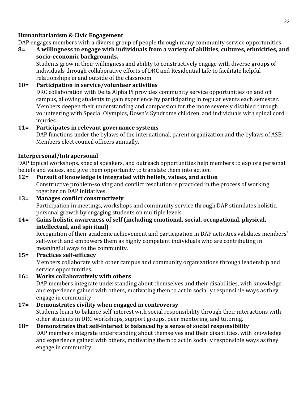#### **Humanitarianism & Civic Engagement**

DAP engages members with a diverse group of people through many community service opportunities

**8= A willingness to engage with individuals from a variety of abilities, cultures, ethnicities, and socio-economic backgrounds.** 

Students grow in their willingness and ability to constructively engage with diverse groups of individuals through collaborative efforts of DRC and Residential Life to facilitate helpful relationships in and outside of the classroom.

#### **10= Participation in service/volunteer activities**

DRC collaboration with Delta Alpha Pi provides community service opportunities on and off campus, allowing students to gain experience by participating in regular events each semester. Members deepen their understanding and compassion for the more severely disabled through volunteering with Special Olympics, Down's Syndrome children, and individuals with spinal cord injuries.

#### **11= Participates in relevant governance systems**

DAP functions under the bylaws of the international, parent organization and the bylaws of ASB. Members elect council officers annually.

#### **Interpersonal/Intrapersonal**

DAP topical workshops, special speakers, and outreach opportunities help members to explore personal beliefs and values, and give them opportunity to translate them into action.

#### **12= Pursuit of knowledge is integrated with beliefs, values, and action**

Constructive problem-solving and conflict resolution is practiced in the process of working together on DAP initiatives.

#### **13= Manages conflict constructively**

Participation in meetings, workshops and community service through DAP stimulates holistic, personal growth by engaging students on multiple levels.

#### **14= Gains holistic awareness of self (including emotional, social, occupational, physical, intellectual, and spiritual)**

Recognition of their academic achievement and participation in DAP activities validates members' self-worth and empowers them as highly competent individuals who are contributing in meaningful ways to the community.

#### **15= Practices self-efficacy**

Members collaborate with other campus and community organizations through leadership and service opportunities.

#### **16= Works collaboratively with others**

DAP members integrate understanding about themselves and their disabilities, with knowledge and experience gained with others, motivating them to act in socially responsible ways as they engage in community.

#### **17= Demonstrates civility when engaged in controversy**

Students learn to balance self-interest with social responsibility through their interactions with other students in DRC workshops, support groups, peer mentoring, and tutoring.

#### **18= Demonstrates that self-interest is balanced by a sense of social responsibility**  DAP members integrate understanding about themselves and their disabilities, with knowledge and experience gained with others, motivating them to act in socially responsible ways as they engage in community.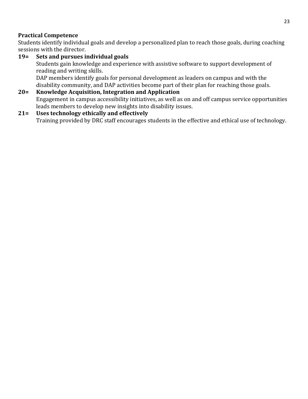#### **Practical Competence**

Students identify individual goals and develop a personalized plan to reach those goals, during coaching sessions with the director.

#### **19= Sets and pursues individual goals**

Students gain knowledge and experience with assistive software to support development of reading and writing skills.

DAP members identify goals for personal development as leaders on campus and with the disability community, and DAP activities become part of their plan for reaching those goals.

#### **20= Knowledge Acquisition, Integration and Application** Engagement in campus accessibility initiatives, as well as on and off campus service opportunities leads members to develop new insights into disability issues.

#### **21= Uses technology ethically and effectively**

Training provided by DRC staff encourages students in the effective and ethical use of technology.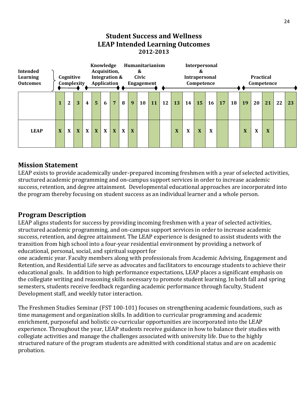# **Student Success and Wellness LEAP Intended Learning Outcomes 2012-2013**



#### **Mission Statement**

LEAP exists to provide academically under-prepared incoming freshmen with a year of selected activities, structured academic programming and on-campus support services in order to increase academic success, retention, and degree attainment. Developmental educational approaches are incorporated into the program thereby focusing on student success as an individual learner and a whole person.

#### **Program Description**

LEAP aligns students for success by providing incoming freshmen with a year of selected activities, structured academic programming, and on-campus support services in order to increase academic success, retention, and degree attainment. The LEAP experience is designed to assist students with the transition from high school into a four-year residential environment by providing a network of educational, personal, social, and spiritual support for

one academic year. Faculty members along with professionals from Academic Advising, Engagement and Retention, and Residential Life serve as advocates and facilitators to encourage students to achieve their educational goals. In addition to high performance expectations, LEAP places a significant emphasis on the collegiate writing and reasoning skills necessary to promote student learning. In both fall and spring semesters, students receive feedback regarding academic performance through faculty, Student Development staff, and weekly tutor interaction.

The Freshmen Studies Seminar (FST 100-101) focuses on strengthening academic foundations, such as time management and organization skills. In addition to curricular programming and academic enrichment, purposeful and holistic co-curricular opportunities are incorporated into the LEAP experience. Throughout the year, LEAP students receive guidance in how to balance their studies with collegiate activities and manage the challenges associated with university life. Due to the highly structured nature of the program students are admitted with conditional status and are on academic probation.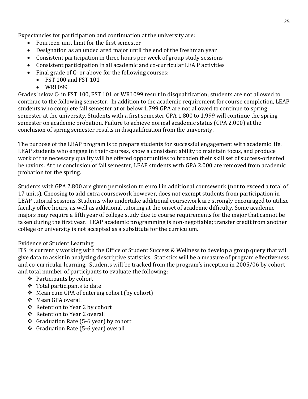Expectancies for participation and continuation at the university are:

- Fourteen-unit limit for the first semester
- Designation as an undeclared major until the end of the freshman year
- Consistent participation in three hours per week of group study sessions
- Consistent participation in all academic and co-curricular LEA P activities
- Final grade of C- or above for the following courses:
	- FST 100 and FST 101
	- WRI 099

Grades below C- in FST 100, FST 101 or WRI 099 result in disqualification; students are not allowed to continue to the following semester. In addition to the academic requirement for course completion, LEAP students who complete fall semester at or below 1.799 GPA are not allowed to continue to spring semester at the university. Students with a first semester GPA 1.800 to 1.999 will continue the spring semester on academic probation. Failure to achieve normal academic status (GPA 2.000) at the conclusion of spring semester results in disqualification from the university.

The purpose of the LEAP program is to prepare students for successful engagement with academic life. LEAP students who engage in their courses, show a consistent ability to maintain focus, and produce work of the necessary quality will be offered opportunities to broaden their skill set of success-oriented behaviors. At the conclusion of fall semester, LEAP students with GPA 2.000 are removed from academic probation for the spring.

Students with GPA 2.800 are given permission to enroll in additional coursework (not to exceed a total of 17 units). Choosing to add extra coursework however, does not exempt students from participation in LEAP tutorial sessions. Students who undertake additional coursework are strongly encouraged to utilize faculty office hours, as well as additional tutoring at the onset of academic difficulty. Some academic majors may require a fifth year of college study due to course requirements for the major that cannot be taken during the first year. LEAP academic programming is non-negotiable; transfer credit from another college or university is not accepted as a substitute for the curriculum.

#### Evidence of Student Learning

ITS is currently working with the Office of Student Success & Wellness to develop a group query that will give data to assist in analyzing descriptive statistics. Statistics will be a measure of program effectiveness and co-curricular learning. Students will be tracked from the program's inception in 2005/06 by cohort and total number of participants to evaluate the following:

- Participants by cohort
- $\div$  Total participants to date
- Mean cum GPA of entering cohort (by cohort)
- Mean GPA overall
- $\triangleleft$  Retention to Year 2 by cohort
- ❖ Retention to Year 2 overall
- $\div$  Graduation Rate (5-6 year) by cohort
- Graduation Rate (5-6 year) overall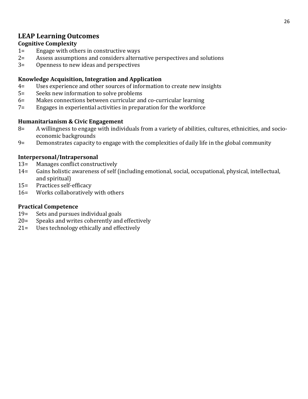# **LEAP Learning Outcomes**

#### **Cognitive Complexity**

- 1= Engage with others in constructive ways
- 2= Assess assumptions and considers alternative perspectives and solutions
- 3= Openness to new ideas and perspectives

#### **Knowledge Acquisition, Integration and Application**

- 4= Uses experience and other sources of information to create new insights
- 5= Seeks new information to solve problems
- 6= Makes connections between curricular and co-curricular learning
- 7= Engages in experiential activities in preparation for the workforce

#### **Humanitarianism & Civic Engagement**

- 8= A willingness to engage with individuals from a variety of abilities, cultures, ethnicities, and socioeconomic backgrounds
- 9= Demonstrates capacity to engage with the complexities of daily life in the global community

#### **Interpersonal/Intrapersonal**

- 13= Manages conflict constructively
- 14= Gains holistic awareness of self (including emotional, social, occupational, physical, intellectual, and spiritual)
- 15= Practices self-efficacy
- 16= Works collaboratively with others

#### **Practical Competence**

- 19= Sets and pursues individual goals
- 20= Speaks and writes coherently and effectively
- 21= Uses technology ethically and effectively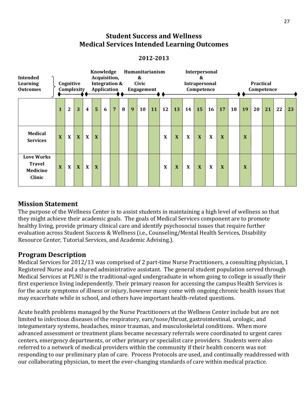# **Student Success and Wellness Medical Services Intended Learning Outcomes**

#### **2012-2013**



# **Mission Statement**

The purpose of the Wellness Center is to assist students in maintaining a high level of wellness so that they might achieve their academic goals. The goals of Medical Services component are to promote healthy living, provide primary clinical care and identify psychosocial issues that require further evaluation across Student Success & Wellness (i.e., Counseling/Mental Health Services, Disability Resource Center, Tutorial Services, and Academic Advising.).

# **Program Description**

Medical Services for 2012/13 was comprised of 2 part-time Nurse Practitioners, a consulting physician, 1 Registered Nurse and a shared administrative assistant. The general student population served through Medical Services at PLNU is the traditional-aged undergraduate in whom going to college is usually their first experience living independently. Their primary reason for accessing the campus Health Services is for the acute symptoms of illness or injury, however many come with ongoing chronic health issues that may exacerbate while in school, and others have important health-related questions.

Acute health problems managed by the Nurse Practitioners at the Wellness Center include but are not limited to infectious diseases of the respiratory, ears/nose/throat, gastrointestinal, urologic, and integumentary systems, headaches, minor traumas, and musculoskeletal conditions. When more advanced assessment or treatment plans became necessary referrals were coordinated to urgent cares centers, emergency departments, or other primary or specialist care providers. Students were also referred to a network of medical providers within the community if their health concern was not responding to our preliminary plan of care. Process Protocols are used, and continually readdressed with our collaborating physician, to meet the ever-changing standards of care within medical practice.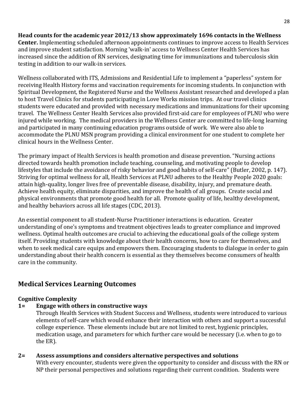**Head counts for the academic year 2012/13 show approximately 1696 contacts in the Wellness Center.** Implementing scheduled afternoon appointments continues to improve access to Health Services and improve student satisfaction. Morning 'walk-in' access to Wellness Center Health Services has increased since the addition of RN services, designating time for immunizations and tuberculosis skin testing in addition to our walk-in services.

Wellness collaborated with ITS, Admissions and Residential Life to implement a "paperless" system for receiving Health History forms and vaccination requirements for incoming students. In conjunction with Spiritual Development, the Registered Nurse and the Wellness Assistant researched and developed a plan to host Travel Clinics for students participating in Love Works mission trips. At our travel clinics students were educated and provided with necessary medications and immunizations for their upcoming travel. The Wellness Center Health Services also provided first-aid care for employees of PLNU who were injured while working. The medical providers in the Wellness Center are committed to life-long learning and participated in many continuing education programs outside of work. We were also able to accommodate the PLNU MSN program providing a clinical environment for one student to complete her clinical hours in the Wellness Center.

The primary impact of Health Services is health promotion and disease prevention. "Nursing actions directed towards health promotion include teaching, counseling, and motivating people to develop lifestyles that include the avoidance of risky behavior and good habits of self-care" (Butler, 2002, p. 147). Striving for optimal wellness for all, Health Services at PLNU adheres to the Healthy People 2020 goals: attain high-quality, longer lives free of preventable disease, disability, injury, and premature death. Achieve health equity, eliminate disparities, and improve the health of all groups. Create social and physical environments that promote good health for all. Promote quality of life, healthy development, and healthy behaviors across all life stages (CDC, 2013).

An essential component to all student-Nurse Practitioner interactions is education. Greater understanding of one's symptoms and treatment objectives leads to greater compliance and improved wellness. Optimal health outcomes are crucial to achieving the educational goals of the college system itself. Providing students with knowledge about their health concerns, how to care for themselves, and when to seek medical care equips and empowers them. Encouraging students to dialogue in order to gain understanding about their health concern is essential as they themselves become consumers of health care in the community.

# **Medical Services Learning Outcomes**

#### **Cognitive Complexity**

#### **1= Engage with others in constructive ways**

Through Health Services with Student Success and Wellness, students were introduced to various elements of self-care which would enhance their interaction with others and support a successful college experience. These elements include but are not limited to rest, hygienic principles, medication usage, and parameters for which further care would be necessary (i.e. when to go to the ER).

#### **2= Assess assumptions and considers alternative perspectives and solutions**

With every encounter, students were given the opportunity to consider and discuss with the RN or NP their personal perspectives and solutions regarding their current condition. Students were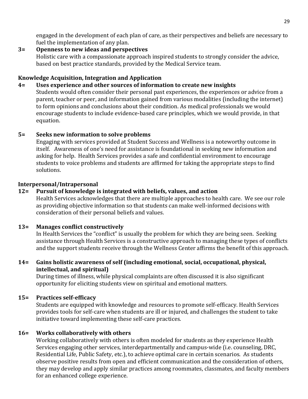engaged in the development of each plan of care, as their perspectives and beliefs are necessary to fuel the implementation of any plan.

#### **3= Openness to new ideas and perspectives**

Holistic care with a compassionate approach inspired students to strongly consider the advice, based on best practice standards, provided by the Medical Service team.

#### **Knowledge Acquisition, Integration and Application**

#### **4= Uses experience and other sources of information to create new insights**

Students would often consider their personal past experiences, the experiences or advice from a parent, teacher or peer, and information gained from various modalities (including the internet) to form opinions and conclusions about their condition. As medical professionals we would encourage students to include evidence-based care principles, which we would provide, in that equation.

#### **5= Seeks new information to solve problems**

Engaging with services provided at Student Success and Wellness is a noteworthy outcome in itself. Awareness of one's need for assistance is foundational in seeking new information and asking for help. Health Services provides a safe and confidential environment to encourage students to voice problems and students are affirmed for taking the appropriate steps to find solutions.

#### **Interpersonal/Intrapersonal**

#### **12= Pursuit of knowledge is integrated with beliefs, values, and action**

Health Services acknowledges that there are multiple approaches to health care. We see our role as providing objective information so that students can make well-informed decisions with consideration of their personal beliefs and values.

#### **13= Manages conflict constructively**

In Health Services the "conflict" is usually the problem for which they are being seen. Seeking assistance through Health Services is a constructive approach to managing these types of conflicts and the support students receive through the Wellness Center affirms the benefit of this approach.

#### **14= Gains holistic awareness of self (including emotional, social, occupational, physical, intellectual, and spiritual)**

During times of illness, while physical complaints are often discussed it is also significant opportunity for eliciting students view on spiritual and emotional matters.

#### **15= Practices self-efficacy**

Students are equipped with knowledge and resources to promote self-efficacy. Health Services provides tools for self-care when students are ill or injured, and challenges the student to take initiative toward implementing these self-care practices.

#### **16= Works collaboratively with others**

Working collaboratively with others is often modeled for students as they experience Health Services engaging other services, interdepartmentally and campus-wide (i.e. counseling, DRC, Residential Life, Public Safety, etc.), to achieve optimal care in certain scenarios. As students observe positive results from open and efficient communication and the consideration of others, they may develop and apply similar practices among roommates, classmates, and faculty members for an enhanced college experience.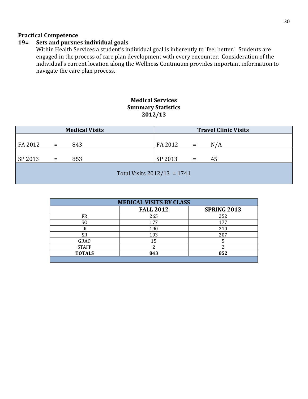#### **Practical Competence**

#### **19= Sets and pursues individual goals**

Within Health Services a student's individual goal is inherently to 'feel better.' Students are engaged in the process of care plan development with every encounter. Consideration of the individual's current location along the Wellness Continuum provides important information to navigate the care plan process.

#### **Medical Services Summary Statistics 2012/13**

|                               | <b>Medical Visits</b> |     |  |         |     | <b>Travel Clinic Visits</b> |  |  |  |  |  |  |
|-------------------------------|-----------------------|-----|--|---------|-----|-----------------------------|--|--|--|--|--|--|
| FA 2012                       | $=$                   | 843 |  | FA 2012 | Ξ   | N/A                         |  |  |  |  |  |  |
| SP 2013                       | $=$                   | 853 |  | SP 2013 | $=$ | 45                          |  |  |  |  |  |  |
| Total Visits $2012/13 = 1741$ |                       |     |  |         |     |                             |  |  |  |  |  |  |

| <b>MEDICAL VISITS BY CLASS</b> |                                        |     |  |  |  |  |  |  |  |
|--------------------------------|----------------------------------------|-----|--|--|--|--|--|--|--|
|                                | <b>FALL 2012</b><br><b>SPRING 2013</b> |     |  |  |  |  |  |  |  |
| FR                             | 265                                    | 252 |  |  |  |  |  |  |  |
| S <sub>0</sub>                 | 177                                    | 177 |  |  |  |  |  |  |  |
| IR                             | 190                                    | 210 |  |  |  |  |  |  |  |
| <b>SR</b>                      | 193                                    | 207 |  |  |  |  |  |  |  |
| GRAD                           | 15                                     |     |  |  |  |  |  |  |  |
| <b>STAFF</b>                   |                                        | ີ   |  |  |  |  |  |  |  |
| <b>TOTALS</b>                  | 843                                    | 852 |  |  |  |  |  |  |  |
|                                |                                        |     |  |  |  |  |  |  |  |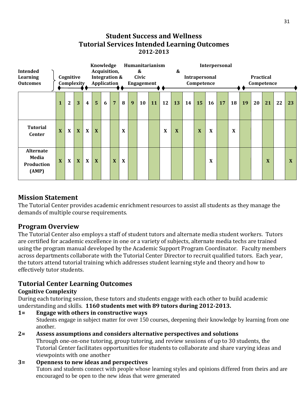# **Student Success and Wellness Tutorial Services Intended Learning Outcomes 2012-2013**



# **Mission Statement**

The Tutorial Center provides academic enrichment resources to assist all students as they manage the demands of multiple course requirements.

# **Program Overview**

The Tutorial Center also employs a staff of student tutors and alternate media student workers. Tutors are certified for academic excellence in one or a variety of subjects, alternate media techs are trained using the program manual developed by the Academic Support Program Coordinator. Faculty members across departments collaborate with the Tutorial Center Director to recruit qualified tutors. Each year, the tutors attend tutorial training which addresses student learning style and theory and how to effectively tutor students.

# **Tutorial Center Learning Outcomes**

#### **Cognitive Complexity**

During each tutoring session, these tutors and students engage with each other to build academic understanding and skills. **1160 students met with 89 tutors during 2012-2013.**

**1= Engage with others in constructive ways** 

Students engage in subject matter for over 150 courses, deepening their knowledge by learning from one another.

- **2= Assess assumptions and considers alternative perspectives and solutions**  Through one-on-one tutoring, group tutoring, and review sessions of up to 30 students, the Tutorial Center facilitates opportunities for students to collaborate and share varying ideas and viewpoints with one another
- **3= Openness to new ideas and perspectives**

Tutors and students connect with people whose learning styles and opinions differed from theirs and are encouraged to be open to the new ideas that were generated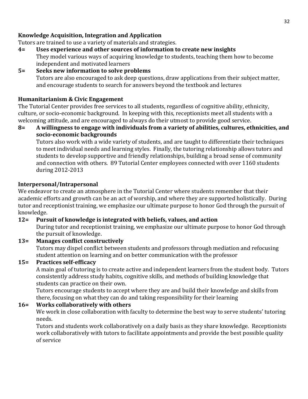#### **Knowledge Acquisition, Integration and Application**

Tutors are trained to use a variety of materials and strategies.

**4= Uses experience and other sources of information to create new insights**  They model various ways of acquiring knowledge to students, teaching them how to become independent and motivated learners

#### **5= Seeks new information to solve problems**  Tutors are also encouraged to ask deep questions, draw applications from their subject matter, and encourage students to search for answers beyond the textbook and lectures

#### **Humanitarianism & Civic Engagement**

The Tutorial Center provides free services to all students, regardless of cognitive ability, ethnicity, culture, or socio-economic background. In keeping with this, receptionists meet all students with a welcoming attitude, and are encouraged to always do their utmost to provide good service.

**8= A willingness to engage with individuals from a variety of abilities, cultures, ethnicities, and socio-economic backgrounds** 

Tutors also work with a wide variety of students, and are taught to differentiate their techniques to meet individual needs and learning styles. Finally, the tutoring relationship allows tutors and students to develop supportive and friendly relationships, building a broad sense of community and connection with others. 89 Tutorial Center employees connected with over 1160 students during 2012-2013

#### **Interpersonal/Intrapersonal**

We endeavor to create an atmosphere in the Tutorial Center where students remember that their academic efforts and growth can be an act of worship, and where they are supported holistically. During tutor and receptionist training, we emphasize our ultimate purpose to honor God through the pursuit of knowledge.

#### **12= Pursuit of knowledge is integrated with beliefs, values, and action**

During tutor and receptionist training, we emphasize our ultimate purpose to honor God through the pursuit of knowledge.

#### **13= Manages conflict constructively**

Tutors may dispel conflict between students and professors through mediation and refocusing student attention on learning and on better communication with the professor

#### **15= Practices self-efficacy**

A main goal of tutoring is to create active and independent learners from the student body. Tutors consistently address study habits, cognitive skills, and methods of building knowledge that students can practice on their own.

Tutors encourage students to accept where they are and build their knowledge and skills from there, focusing on what they can do and taking responsibility for their learning

#### **16= Works collaboratively with others**

We work in close collaboration with faculty to determine the best way to serve students' tutoring needs.

Tutors and students work collaboratively on a daily basis as they share knowledge. Receptionists work collaboratively with tutors to facilitate appointments and provide the best possible quality of service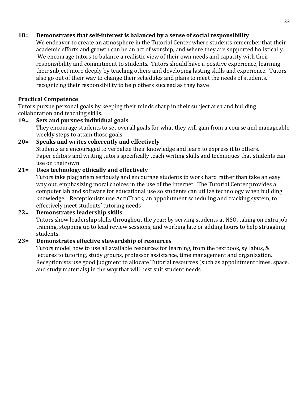#### **18= Demonstrates that self-interest is balanced by a sense of social responsibility**

We endeavor to create an atmosphere in the Tutorial Center where students remember that their academic efforts and growth can be an act of worship, and where they are supported holistically. We encourage tutors to balance a realistic view of their own needs and capacity with their responsibility and commitment to students. Tutors should have a positive experience, learning their subject more deeply by teaching others and developing lasting skills and experience. Tutors also go out of their way to change their schedules and plans to meet the needs of students, recognizing their responsibility to help others succeed as they have

#### **Practical Competence**

Tutors pursue personal goals by keeping their minds sharp in their subject area and building collaboration and teaching skills.

#### **19= Sets and pursues individual goals**

They encourage students to set overall goals for what they will gain from a course and manageable weekly steps to attain those goals

#### **20= Speaks and writes coherently and effectively**

Students are encouraged to verbalize their knowledge and learn to express it to others. Paper editors and writing tutors specifically teach writing skills and techniques that students can use on their own

#### **21= Uses technology ethically and effectively**

Tutors take plagiarism seriously and encourage students to work hard rather than take an easy way out, emphasizing moral choices in the use of the internet. The Tutorial Center provides a computer lab and software for educational use so students can utilize technology when building knowledge. Receptionists use AccuTrack, an appointment scheduling and tracking system, to effectively meet students' tutoring needs

#### **22= Demonstrates leadership skills**

Tutors show leadership skills throughout the year: by serving students at NSO, taking on extra job training, stepping up to lead review sessions, and working late or adding hours to help struggling students.

#### **23= Demonstrates effective stewardship of resources**

Tutors model how to use all available resources for learning, from the textbook, syllabus, & lectures to tutoring, study groups, professor assistance, time management and organization. Receptionists use good judgment to allocate Tutorial resources (such as appointment times, space, and study materials) in the way that will best suit student needs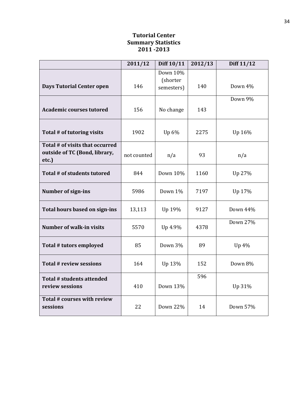#### **Tutorial Center Summary Statistics 2011 -2013**

|                                                                           | 2011/12     | Diff 10/11                         | 2012/13 | Diff 11/12      |
|---------------------------------------------------------------------------|-------------|------------------------------------|---------|-----------------|
| <b>Days Tutorial Center open</b>                                          | 146         | Down 10%<br>(shorter<br>semesters) | 140     | Down 4%         |
| <b>Academic courses tutored</b>                                           | 156         | No change                          | 143     | Down 9%         |
| Total # of tutoring visits                                                | 1902        | Up 6%                              | 2275    | Up 16%          |
| Total # of visits that occurred<br>outside of TC (Bond, library,<br>etc.) | not counted | n/a                                | 93      | n/a             |
| Total # of students tutored                                               | 844         | Down 10%                           | 1160    | Up 27%          |
| <b>Number of sign-ins</b>                                                 | 5986        | Down 1%                            | 7197    | Up 17%          |
| Total hours based on sign-ins                                             | 13,113      | Up 19%                             | 9127    | Down 44%        |
| <b>Number of walk-in visits</b>                                           | 5570        | Up 4.9%                            | 4378    | <b>Down 27%</b> |
| Total # tutors employed                                                   | 85          | Down 3%                            | 89      | Up 4%           |
| Total # review sessions                                                   | 164         | Up 13%                             | 152     | Down 8%         |
| Total # students attended<br>review sessions                              | 410         | <b>Down 13%</b>                    | 596     | Up 31%          |
| Total # courses with review<br>sessions                                   | 22          | Down 22%                           | 14      | Down 57%        |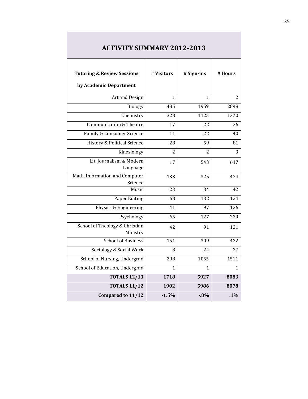| <b>ACTIVITY SUMMARY 2012-2013</b>                               |                |            |         |  |  |  |  |  |  |  |
|-----------------------------------------------------------------|----------------|------------|---------|--|--|--|--|--|--|--|
| <b>Tutoring &amp; Review Sessions</b><br>by Academic Department | # Visitors     | # Sign-ins | # Hours |  |  |  |  |  |  |  |
| Art and Design                                                  | 1              | 1          | 2       |  |  |  |  |  |  |  |
| Biology                                                         | 485            | 1959       | 2898    |  |  |  |  |  |  |  |
| Chemistry                                                       | 328            | 1125       | 1370    |  |  |  |  |  |  |  |
| <b>Communication &amp; Theatre</b>                              | 17             | 22         | 36      |  |  |  |  |  |  |  |
| Family & Consumer Science                                       | 11             | 22         | 40      |  |  |  |  |  |  |  |
| History & Political Science                                     | 28             | 59         | 81      |  |  |  |  |  |  |  |
| Kinesiology                                                     | $\overline{c}$ | 2          | 3       |  |  |  |  |  |  |  |
| Lit. Journalism & Modern<br>Language                            | 17             | 543        | 617     |  |  |  |  |  |  |  |
| Math, Information and Computer<br>Science                       | 133            | 325        | 434     |  |  |  |  |  |  |  |
| Music                                                           | 23             | 34         | 42      |  |  |  |  |  |  |  |
| Paper Editing                                                   | 68             | 132        | 124     |  |  |  |  |  |  |  |
| Physics & Engineering                                           | 41             | 97         | 126     |  |  |  |  |  |  |  |
| Psychology                                                      | 65             | 127        | 229     |  |  |  |  |  |  |  |
| School of Theology & Christian<br>Ministry                      | 42             | 91         | 121     |  |  |  |  |  |  |  |
| <b>School of Business</b>                                       | 151            | 309        | 422     |  |  |  |  |  |  |  |
| Sociology & Social Work                                         | 8              | 24         | 27      |  |  |  |  |  |  |  |
| School of Nursing, Undergrad                                    | 298            | 1055       | 1511    |  |  |  |  |  |  |  |
| School of Education, Undergrad                                  | 1              | 1          | 1       |  |  |  |  |  |  |  |
| <b>TOTALS 12/13</b>                                             | 1718           | 5927       | 8083    |  |  |  |  |  |  |  |
| <b>TOTALS 11/12</b>                                             | 1902           | 5986       | 8078    |  |  |  |  |  |  |  |
| Compared to 11/12                                               | $-1.5%$        | $-0.8%$    | .1%     |  |  |  |  |  |  |  |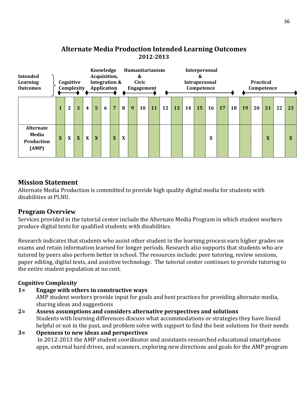# **Alternate Media Production Intended Learning Outcomes 2012-2013**

| Intended<br>Learning<br><b>Outcomes</b>          |   | Cognitive    | Complexity |   | Knowledge<br>Acquisition,<br>Integration &<br>Application |   |                |   |   | Humanitarianism<br>&<br>Civic<br>Engagement |    |    |           |    | Interpersonal<br>×.<br><b>Intrapersonal</b><br>Competence |    |    |    |    | <b>Practical</b><br>Competence |                |    |             |
|--------------------------------------------------|---|--------------|------------|---|-----------------------------------------------------------|---|----------------|---|---|---------------------------------------------|----|----|-----------|----|-----------------------------------------------------------|----|----|----|----|--------------------------------|----------------|----|-------------|
|                                                  |   | $\mathbf{2}$ | 3          | 4 | $5\overline{5}$                                           | 6 | $\overline{7}$ | 8 | 9 | 10                                          | 11 | 12 | <b>13</b> | 14 | 15                                                        | 16 | 17 | 18 | 19 | 20                             | <b>21</b>      | 22 | 23          |
| <b>Alternate</b><br>Media<br>Production<br>(AMP) | X | X            | X          | X | X                                                         |   | X              | X |   |                                             |    |    |           |    |                                                           | X  |    |    |    |                                | v<br>$\Lambda$ |    | $\mathbf x$ |

# **Mission Statement**

Alternate Media Production is committed to provide high quality digital media for students with disabilities at PLNU.

#### **Program Overview**

Services provided in the tutorial center include the Alternate Media Program in which student workers produce digital texts for qualified students with disabilities.

Research indicates that students who assist other student in the learning process earn higher grades on exams and retain information learned for longer periods. Research also supports that students who are tutored by peers also perform better in school. The resources include: peer tutoring, review sessions, paper editing, digital texts, and assistive technology. The tutorial center continues to provide tutoring to the entire student population at no cost.

#### **Cognitive Complexity**

**1= Engage with others in constructive ways** 

AMP student workers provide input for goals and best practices for providing alternate media, sharing ideas and suggestions

- **2= Assess assumptions and considers alternative perspectives and solutions** Students with learning differences discuss what accommodations or strategies they have found helpful or not in the past, and problem solve with support to find the best solutions for their needs
- **3= Openness to new ideas and perspectives** In 2012-2013 the AMP student coordinator and assistants researched educational smartphone apps, external hard drives, and scanners, exploring new directions and goals for the AMP program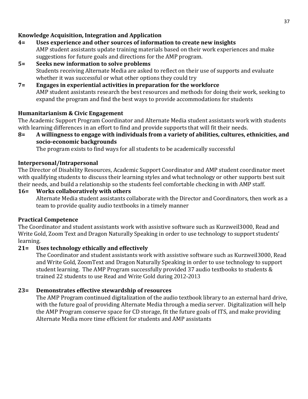#### **Knowledge Acquisition, Integration and Application**

- **4= Uses experience and other sources of information to create new insights**  AMP student assistants update training materials based on their work experiences and make suggestions for future goals and directions for the AMP program.
- **5= Seeks new information to solve problems** Students receiving Alternate Media are asked to reflect on their use of supports and evaluate whether it was successful or what other options they could try
- **7= Engages in experiential activities in preparation for the workforce** AMP student assistants research the best resources and methods for doing their work, seeking to expand the program and find the best ways to provide accommodations for students

#### **Humanitarianism & Civic Engagement**

The Academic Support Program Coordinator and Alternate Media student assistants work with students with learning differences in an effort to find and provide supports that will fit their needs.

**8= A willingness to engage with individuals from a variety of abilities, cultures, ethnicities, and socio-economic backgrounds**

The program exists to find ways for all students to be academically successful

#### **Interpersonal/Intrapersonal**

The Director of Disability Resources, Academic Support Coordinator and AMP student coordinator meet with qualifying students to discuss their learning styles and what technology or other supports best suit their needs, and build a relationship so the students feel comfortable checking in with AMP staff.

**16= Works collaboratively with others**

Alternate Media student assistants collaborate with the Director and Coordinators, then work as a team to provide quality audio textbooks in a timely manner

#### **Practical Competence**

The Coordinator and student assistants work with assistive software such as Kurzweil3000, Read and Write Gold, Zoom Text and Dragon Naturally Speaking in order to use technology to support students' learning.

#### **21= Uses technology ethically and effectively**

The Coordinator and student assistants work with assistive software such as Kurzweil3000, Read and Write Gold, ZoomText and Dragon Naturally Speaking in order to use technology to support student learning. The AMP Program successfully provided 37 audio textbooks to students & trained 22 students to use Read and Write Gold during 2012-2013

#### **23= Demonstrates effective stewardship of resources**

The AMP Program continued digitalization of the audio textbook library to an external hard drive, with the future goal of providing Alternate Media through a media server. Digitalization will help the AMP Program conserve space for CD storage, fit the future goals of ITS, and make providing Alternate Media more time efficient for students and AMP assistants